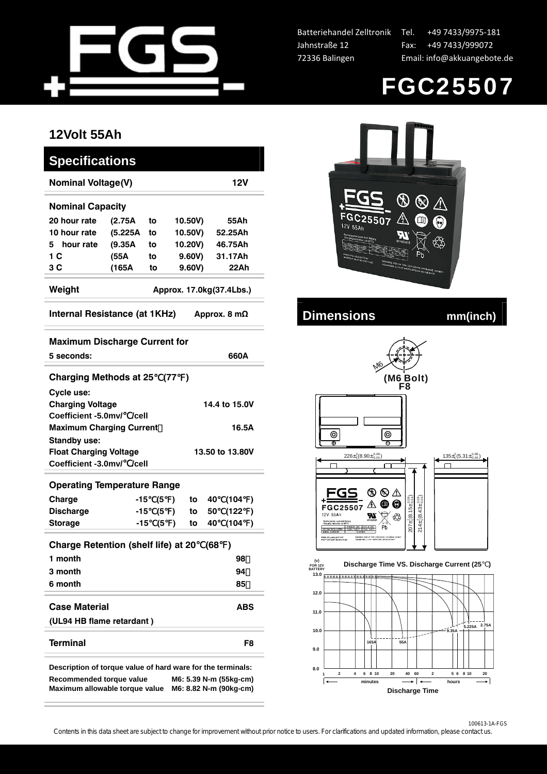

Batteriehandel Zelltronik Jahnstraße 12 72336 Balingen

Tel. +49 7433/9975-181 Fax: +49 7433/999072 Email: info@akkuangebote.de



## **12Volt 55Ah**

| <b>Specifications</b>                                       |                                                                               |    |           |               |    |            |           |  |
|-------------------------------------------------------------|-------------------------------------------------------------------------------|----|-----------|---------------|----|------------|-----------|--|
| <b>Nominal Voltage(V)</b>                                   |                                                                               |    |           |               |    | <b>12V</b> |           |  |
| <b>Nominal Capacity</b>                                     |                                                                               |    |           |               |    |            |           |  |
| 20 hour rate                                                | (2.75A)                                                                       | to |           | 10.50V)       |    | 55Ah       |           |  |
| 10 hour rate                                                | (5.225A                                                                       | to | 10.50V)   |               |    | 52.25Ah    |           |  |
| 5 hour rate                                                 | (9.35A                                                                        | to | 10.20V)   |               |    | 46.75Ah    |           |  |
| 1 C                                                         | (55A                                                                          | to |           | 9.60V)        |    | 31.17Ah    |           |  |
| 3 C                                                         | (165A                                                                         | to |           | 9.60V)        |    | 22Ah       |           |  |
| Weight<br>Approx. 17.0kg(37.4Lbs.)                          |                                                                               |    |           |               |    |            |           |  |
| Internal Resistance (at 1KHz)<br>Approx. 8 $m\Omega$        |                                                                               |    |           |               |    |            |           |  |
| <b>Maximum Discharge Current for</b>                        |                                                                               |    |           |               |    |            |           |  |
| 5 seconds:                                                  |                                                                               |    |           |               |    | 660A       |           |  |
| Charging Methods at 25 (77                                  |                                                                               |    |           | $\rightarrow$ |    |            |           |  |
|                                                             |                                                                               |    |           |               |    |            |           |  |
| Cycle use:<br>14.4 to 15.0V                                 |                                                                               |    |           |               |    |            |           |  |
| <b>Charging Voltage</b><br>Coefficient -5.0mv/ /cell        |                                                                               |    |           |               |    |            |           |  |
|                                                             |                                                                               |    |           |               |    | 16.5A      |           |  |
| <b>Maximum Charging Current</b>                             |                                                                               |    |           |               |    |            |           |  |
| <b>Standby use:</b>                                         |                                                                               |    |           |               |    |            |           |  |
|                                                             | <b>Float Charging Voltage</b><br>13.50 to 13.80V<br>Coefficient -3.0mv/ /cell |    |           |               |    |            |           |  |
|                                                             |                                                                               |    |           |               |    |            |           |  |
| <b>Operating Temperature Range</b>                          |                                                                               |    |           |               |    |            |           |  |
| Charge                                                      | -15                                                                           | (5 | $\lambda$ | to            | 40 | (104       | $\lambda$ |  |
| <b>Discharge</b>                                            | -15                                                                           |    | (5)       | to            | 50 | (122)      |           |  |
| <b>Storage</b>                                              | -15                                                                           |    | (5)       | to            | 40 | (104       | $\lambda$ |  |
| <b>Charge Retention (shelf life) at 20</b><br>(68)<br>)     |                                                                               |    |           |               |    |            |           |  |
| 1 month                                                     |                                                                               |    |           |               |    | 98         |           |  |
| 3 month                                                     |                                                                               |    |           |               |    |            |           |  |
| 6 month                                                     |                                                                               |    |           |               |    | 94<br>85   |           |  |
|                                                             |                                                                               |    |           |               |    |            |           |  |
| <b>Case Material</b>                                        |                                                                               |    |           |               |    | <b>ABS</b> |           |  |
| (UL94 HB flame retardant)                                   |                                                                               |    |           |               |    |            |           |  |
| <b>Terminal</b>                                             |                                                                               |    |           |               |    | F8         |           |  |
| Description of torque value of hard ware for the terminals: |                                                                               |    |           |               |    |            |           |  |

**Recommended torque value M6: 5.39 N-m (55kg-cm) Maximum allowable torque value M6: 8.82 N-m (90kg-cm)** 



## **Internal Resistance (Burnal Proximal Proximal Proximal Proximal Proximal Proximal Proximal Proximal Proximal Proximal Proximal Proximal Proximal Proximal Proximal Proximal Proximal Proximal Proximal Proximal Proximal Prox**



100613-1A-FGS